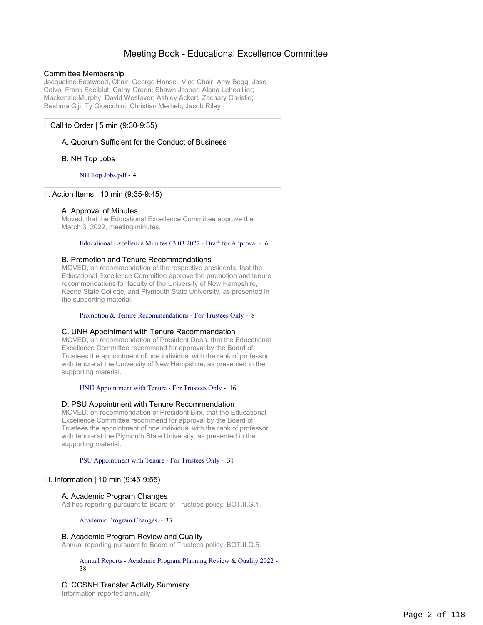# Meeting Book - Educational Excellence Committee

## Committee Membership

Jacqueline Eastwood, Chair; George Hansel, Vice Chair; Amy Begg; Jose Calvo; Frank Edelblut; Cathy Green; Shawn Jasper; Alana Lehouillier; Mackenzie Murphy; David Westover; Ashley Ackert; Zachary Christie; Reshma Giji; Ty Gioacchini; Christian Merheb; Jacob Riley

# I. Call to Order | 5 min (9:30-9:35)

# A. Quorum Sufficient for the Conduct of Business

## B. NH Top Jobs

NH Top Jobs.pdf - 4

# II. Action Items | 10 min (9:35-9:45)

## A. Approval of Minutes

Moved, that the Educational Excellence Committee approve the March 3, 2022, meeting minutes.

#### Educational Excellence Minutes 03 03 2022 - Draft for Approval - 6

#### B. Promotion and Tenure Recommendations

MOVED, on recommendation of the respective presidents, that the Educational Excellence Committee approve the promotion and tenure recommendations for faculty of the University of New Hampshire, Keene State College, and Plymouth State University, as presented in the supporting material.

#### Promotion & Tenure Recommendations - For Trustees Only - 8

#### C. UNH Appointment with Tenure Recommendation

MOVED, on recommendation of President Dean, that the Educational Excellence Committee recommend for approval by the Board of Trustees the appointment of one individual with the rank of professor with tenure at the University of New Hampshire, as presented in the supporting material.

UNH Appointment with Tenure - For Trustees Only - 16

#### D. PSU Appointment with Tenure Recommendation

MOVED, on recommendation of President Birx, that the Educational Excellence Committee recommend for approval by the Board of Trustees the appointment of one individual with the rank of professor with tenure at the Plymouth State University, as presented in the supporting material.

PSU Appointment with Tenure - For Trustees Only - 31

#### III. Information | 10 min (9:45-9:55)

# A. Academic Program Changes

Ad hoc reporting pursuant to Board of Trustees policy, BOT.II.G.4.

Academic Program Changes. - 33

#### B. Academic Program Review and Quality

Annual reporting pursuant to Board of Trustees policy, BOT.II.G.5.

#### Annual Reports - Academic Program Planning Review & Quality 2022 - 38

# C. CCSNH Transfer Activity Summary

Information reported annually